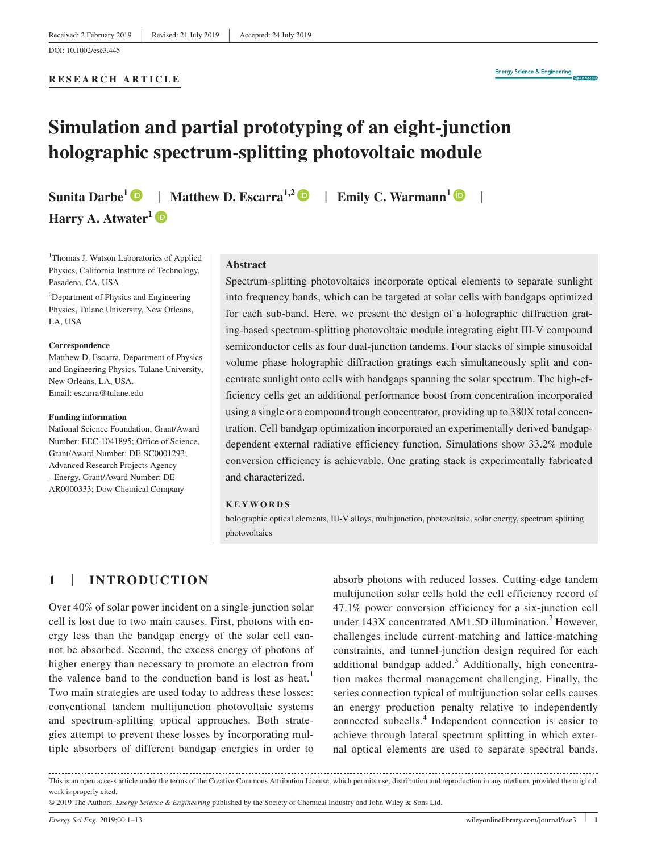**RESEARCH ARTICLE**

# **Simulation and partial prototyping of an eight‐junction holographic spectrum‐splitting photovoltaic module**

**Harry A. Atwater[1](https://orcid.org/0000-0001-9435-0201)**

**Sunita Darbe**<sup>[1](https://orcid.org/0000-0002-8099-1814)</sup>  $\bullet$  | **Matthew D. Escarra**<sup>1,2</sup>  $\bullet$  | **Emily C. Warmann**<sup>1</sup>  $\bullet$  |

<sup>1</sup>Thomas J. Watson Laboratories of Applied Physics, California Institute of Technology, Pasadena, CA, USA

<sup>2</sup>Department of Physics and Engineering Physics, Tulane University, New Orleans, LA, USA

#### **Correspondence**

Matthew D. Escarra, Department of Physics and Engineering Physics, Tulane University, New Orleans, LA, USA. Email: [escarra@tulane.edu](mailto:escarra@tulane.edu)

#### **Funding information**

National Science Foundation, Grant/Award Number: EEC‐1041895; Office of Science, Grant/Award Number: DE‐SC0001293; Advanced Research Projects Agency ‐ Energy, Grant/Award Number: DE‐ AR0000333; Dow Chemical Company

#### **Abstract**

Spectrum‐splitting photovoltaics incorporate optical elements to separate sunlight into frequency bands, which can be targeted at solar cells with bandgaps optimized for each sub-band. Here, we present the design of a holographic diffraction grating‐based spectrum‐splitting photovoltaic module integrating eight III‐V compound semiconductor cells as four dual-junction tandems. Four stacks of simple sinusoidal volume phase holographic diffraction gratings each simultaneously split and concentrate sunlight onto cells with bandgaps spanning the solar spectrum. The high‐efficiency cells get an additional performance boost from concentration incorporated using a single or a compound trough concentrator, providing up to 380X total concentration. Cell bandgap optimization incorporated an experimentally derived bandgapdependent external radiative efficiency function. Simulations show 33.2% module conversion efficiency is achievable. One grating stack is experimentally fabricated and characterized.

#### **KEYWORDS**

holographic optical elements, III-V alloys, multijunction, photovoltaic, solar energy, spectrum splitting photovoltaics

# **1** | **INTRODUCTION**

Over 40% of solar power incident on a single‐junction solar cell is lost due to two main causes. First, photons with energy less than the bandgap energy of the solar cell cannot be absorbed. Second, the excess energy of photons of higher energy than necessary to promote an electron from the valence band to the conduction band is lost as heat.<sup>1</sup> Two main strategies are used today to address these losses: conventional tandem multijunction photovoltaic systems and spectrum‐splitting optical approaches. Both strategies attempt to prevent these losses by incorporating multiple absorbers of different bandgap energies in order to

absorb photons with reduced losses. Cutting‐edge tandem multijunction solar cells hold the cell efficiency record of 47.1% power conversion efficiency for a six‐junction cell under  $143X$  concentrated AM1.5D illumination.<sup>2</sup> However, challenges include current‐matching and lattice‐matching constraints, and tunnel‐junction design required for each additional bandgap added.<sup>3</sup> Additionally, high concentration makes thermal management challenging. Finally, the series connection typical of multijunction solar cells causes an energy production penalty relative to independently connected subcells.<sup>4</sup> Independent connection is easier to achieve through lateral spectrum splitting in which external optical elements are used to separate spectral bands.

This is an open access article under the terms of the [Creative Commons Attribution](http://creativecommons.org/licenses/by/4.0/) License, which permits use, distribution and reproduction in any medium, provided the original work is properly cited.

© 2019 The Authors. *Energy Science & Engineering* published by the Society of Chemical Industry and John Wiley & Sons Ltd.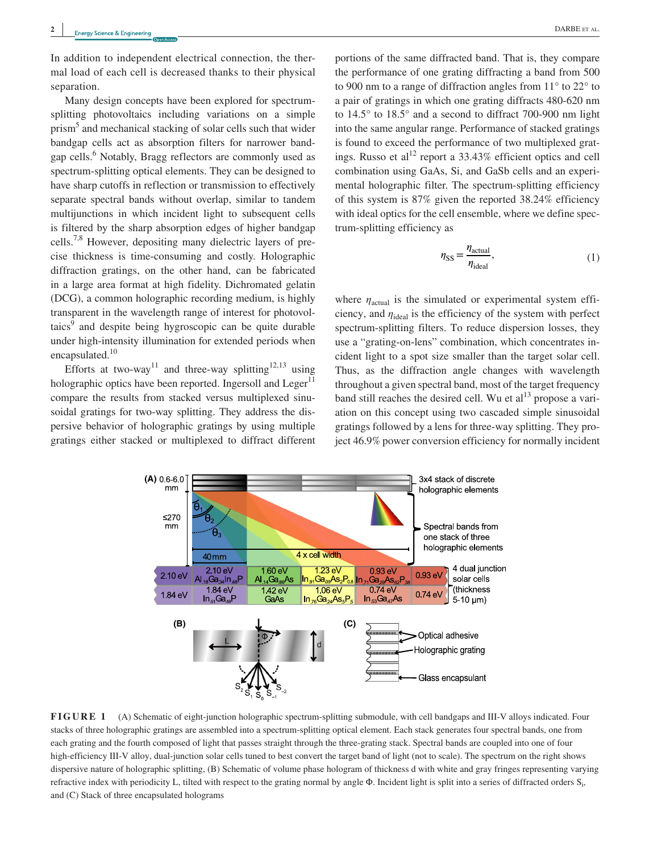In addition to independent electrical connection, the thermal load of each cell is decreased thanks to their physical separation.

Many design concepts have been explored for spectrumsplitting photovoltaics including variations on a simple prism<sup>5</sup> and mechanical stacking of solar cells such that wider bandgap cells act as absorption filters for narrower bandgap cells.<sup>6</sup> Notably, Bragg reflectors are commonly used as spectrum‐splitting optical elements. They can be designed to have sharp cutoffs in reflection or transmission to effectively separate spectral bands without overlap, similar to tandem multijunctions in which incident light to subsequent cells is filtered by the sharp absorption edges of higher bandgap cells.7,8 However, depositing many dielectric layers of precise thickness is time‐consuming and costly. Holographic diffraction gratings, on the other hand, can be fabricated in a large area format at high fidelity. Dichromated gelatin (DCG), a common holographic recording medium, is highly transparent in the wavelength range of interest for photovoltaics<sup>9</sup> and despite being hygroscopic can be quite durable under high-intensity illumination for extended periods when encapsulated.<sup>10</sup>

Efforts at two-way<sup>11</sup> and three-way splitting<sup>12,13</sup> using holographic optics have been reported. Ingersoll and Leger<sup>11</sup> compare the results from stacked versus multiplexed sinusoidal gratings for two-way splitting. They address the dispersive behavior of holographic gratings by using multiple gratings either stacked or multiplexed to diffract different portions of the same diffracted band. That is, they compare the performance of one grating diffracting a band from 500 to 900 nm to a range of diffraction angles from 11° to 22° to a pair of gratings in which one grating diffracts 480‐620 nm to 14.5° to 18.5° and a second to diffract 700‐900 nm light into the same angular range. Performance of stacked gratings is found to exceed the performance of two multiplexed gratings. Russo et al<sup>12</sup> report a 33.43% efficient optics and cell combination using GaAs, Si, and GaSb cells and an experimental holographic filter. The spectrum‐splitting efficiency of this system is 87% given the reported 38.24% efficiency with ideal optics for the cell ensemble, where we define spectrum‐splitting efficiency as

$$
\eta_{\rm SS} = \frac{\eta_{\rm actual}}{\eta_{\rm ideal}},\tag{1}
$$

where  $\eta_{\text{actual}}$  is the simulated or experimental system efficiency, and  $\eta_{\text{ideal}}$  is the efficiency of the system with perfect spectrum‐splitting filters. To reduce dispersion losses, they use a "grating‐on‐lens" combination, which concentrates incident light to a spot size smaller than the target solar cell. Thus, as the diffraction angle changes with wavelength throughout a given spectral band, most of the target frequency band still reaches the desired cell. Wu et  $al<sup>13</sup>$  propose a variation on this concept using two cascaded simple sinusoidal gratings followed by a lens for three‐way splitting. They project 46.9% power conversion efficiency for normally incident



FIGURE 1 (A) Schematic of eight-junction holographic spectrum-splitting submodule, with cell bandgaps and III-V alloys indicated. Four stacks of three holographic gratings are assembled into a spectrum‐splitting optical element. Each stack generates four spectral bands, one from each grating and the fourth composed of light that passes straight through the three-grating stack. Spectral bands are coupled into one of four high-efficiency III-V alloy, dual-junction solar cells tuned to best convert the target band of light (not to scale). The spectrum on the right shows dispersive nature of holographic splitting, (B) Schematic of volume phase hologram of thickness d with white and gray fringes representing varying refractive index with periodicity L, tilted with respect to the grating normal by angle  $\Phi$ . Incident light is split into a series of diffracted orders  $S_i$ , and (C) Stack of three encapsulated holograms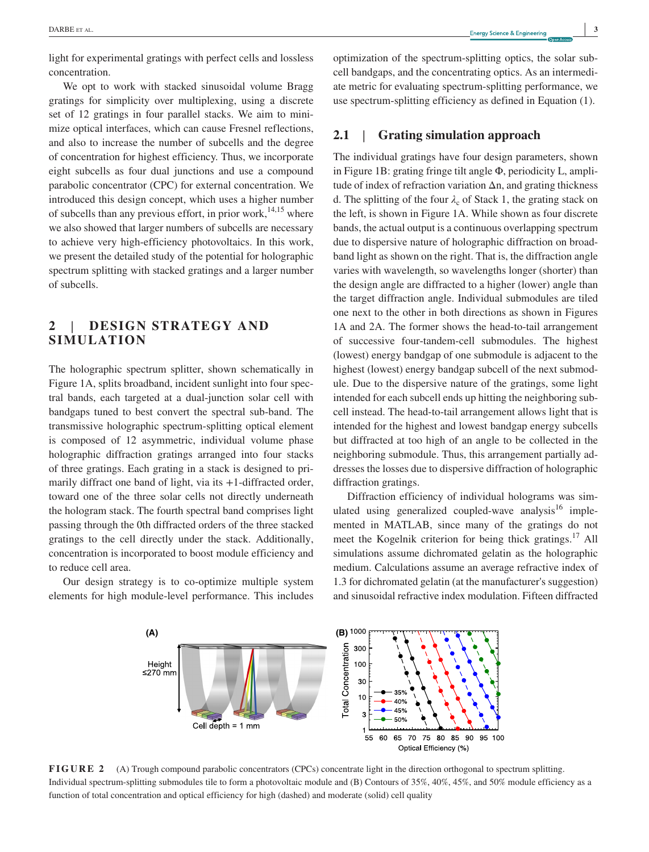light for experimental gratings with perfect cells and lossless concentration.

We opt to work with stacked sinusoidal volume Bragg gratings for simplicity over multiplexing, using a discrete set of 12 gratings in four parallel stacks. We aim to minimize optical interfaces, which can cause Fresnel reflections, and also to increase the number of subcells and the degree of concentration for highest efficiency. Thus, we incorporate eight subcells as four dual junctions and use a compound parabolic concentrator (CPC) for external concentration. We introduced this design concept, which uses a higher number of subcells than any previous effort, in prior work, $14,15$  where we also showed that larger numbers of subcells are necessary to achieve very high‐efficiency photovoltaics. In this work, we present the detailed study of the potential for holographic spectrum splitting with stacked gratings and a larger number of subcells.

# **2** | **DESIGN STRATEGY AND SIMULATION**

The holographic spectrum splitter, shown schematically in Figure 1A, splits broadband, incident sunlight into four spectral bands, each targeted at a dual‐junction solar cell with bandgaps tuned to best convert the spectral sub‐band. The transmissive holographic spectrum‐splitting optical element is composed of 12 asymmetric, individual volume phase holographic diffraction gratings arranged into four stacks of three gratings. Each grating in a stack is designed to primarily diffract one band of light, via its  $+1$ -diffracted order, toward one of the three solar cells not directly underneath the hologram stack. The fourth spectral band comprises light passing through the 0th diffracted orders of the three stacked gratings to the cell directly under the stack. Additionally, concentration is incorporated to boost module efficiency and to reduce cell area.

Our design strategy is to co-optimize multiple system elements for high module‐level performance. This includes optimization of the spectrum‐splitting optics, the solar subcell bandgaps, and the concentrating optics. As an intermediate metric for evaluating spectrum‐splitting performance, we use spectrum‐splitting efficiency as defined in Equation (1).

# **2.1** | **Grating simulation approach**

The individual gratings have four design parameters, shown in Figure 1B: grating fringe tilt angle Φ, periodicity L, amplitude of index of refraction variation Δn, and grating thickness d. The splitting of the four  $\lambda_c$  of Stack 1, the grating stack on the left, is shown in Figure 1A. While shown as four discrete bands, the actual output is a continuous overlapping spectrum due to dispersive nature of holographic diffraction on broadband light as shown on the right. That is, the diffraction angle varies with wavelength, so wavelengths longer (shorter) than the design angle are diffracted to a higher (lower) angle than the target diffraction angle. Individual submodules are tiled one next to the other in both directions as shown in Figures 1A and 2A. The former shows the head-to-tail arrangement of successive four‐tandem‐cell submodules. The highest (lowest) energy bandgap of one submodule is adjacent to the highest (lowest) energy bandgap subcell of the next submodule. Due to the dispersive nature of the gratings, some light intended for each subcell ends up hitting the neighboring subcell instead. The head‐to‐tail arrangement allows light that is intended for the highest and lowest bandgap energy subcells but diffracted at too high of an angle to be collected in the neighboring submodule. Thus, this arrangement partially addresses the losses due to dispersive diffraction of holographic diffraction gratings.

Diffraction efficiency of individual holograms was simulated using generalized coupled-wave analysis $16$  implemented in MATLAB, since many of the gratings do not meet the Kogelnik criterion for being thick gratings.<sup>17</sup> All simulations assume dichromated gelatin as the holographic medium. Calculations assume an average refractive index of 1.3 for dichromated gelatin (at the manufacturer's suggestion) and sinusoidal refractive index modulation. Fifteen diffracted



**FIGURE 2** (A) Trough compound parabolic concentrators (CPCs) concentrate light in the direction orthogonal to spectrum splitting. Individual spectrum‐splitting submodules tile to form a photovoltaic module and (B) Contours of 35%, 40%, 45%, and 50% module efficiency as a function of total concentration and optical efficiency for high (dashed) and moderate (solid) cell quality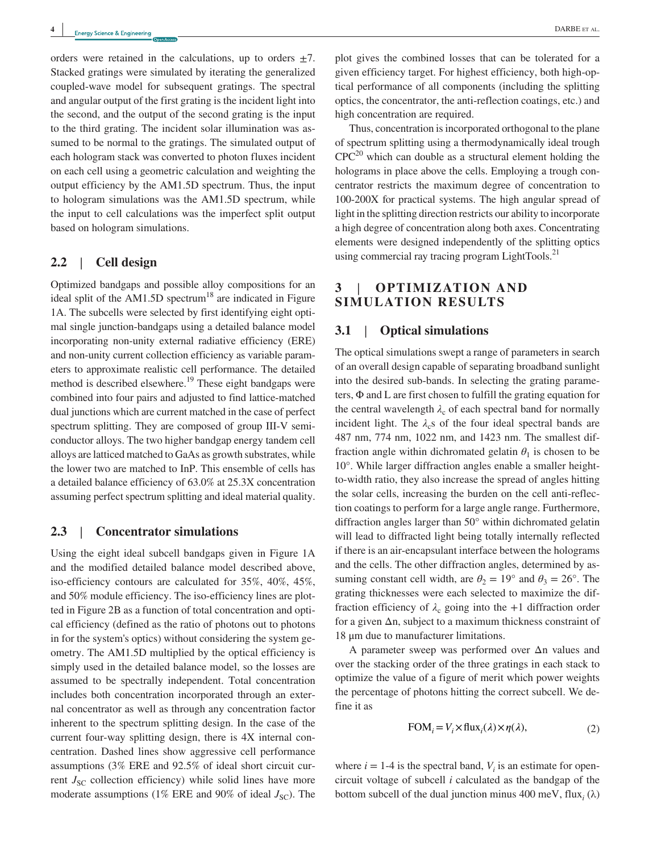orders were retained in the calculations, up to orders  $\pm$ 7. Stacked gratings were simulated by iterating the generalized coupled‐wave model for subsequent gratings. The spectral and angular output of the first grating is the incident light into the second, and the output of the second grating is the input to the third grating. The incident solar illumination was assumed to be normal to the gratings. The simulated output of each hologram stack was converted to photon fluxes incident on each cell using a geometric calculation and weighting the output efficiency by the AM1.5D spectrum. Thus, the input to hologram simulations was the AM1.5D spectrum, while the input to cell calculations was the imperfect split output based on hologram simulations.

## **2.2** | **Cell design**

Optimized bandgaps and possible alloy compositions for an ideal split of the AM1.5D spectrum<sup>18</sup> are indicated in Figure 1A. The subcells were selected by first identifying eight optimal single junction‐bandgaps using a detailed balance model incorporating non-unity external radiative efficiency (ERE) and non‐unity current collection efficiency as variable parameters to approximate realistic cell performance. The detailed method is described elsewhere.<sup>19</sup> These eight bandgaps were combined into four pairs and adjusted to find lattice-matched dual junctions which are current matched in the case of perfect spectrum splitting. They are composed of group III-V semiconductor alloys. The two higher bandgap energy tandem cell alloys are latticed matched to GaAs as growth substrates, while the lower two are matched to InP. This ensemble of cells has a detailed balance efficiency of 63.0% at 25.3X concentration assuming perfect spectrum splitting and ideal material quality.

#### **2.3** | **Concentrator simulations**

Using the eight ideal subcell bandgaps given in Figure 1A and the modified detailed balance model described above, iso‐efficiency contours are calculated for 35%, 40%, 45%, and 50% module efficiency. The iso-efficiency lines are plotted in Figure 2B as a function of total concentration and optical efficiency (defined as the ratio of photons out to photons in for the system's optics) without considering the system geometry. The AM1.5D multiplied by the optical efficiency is simply used in the detailed balance model, so the losses are assumed to be spectrally independent. Total concentration includes both concentration incorporated through an external concentrator as well as through any concentration factor inherent to the spectrum splitting design. In the case of the current four‐way splitting design, there is 4X internal concentration. Dashed lines show aggressive cell performance assumptions (3% ERE and 92.5% of ideal short circuit current  $J_{SC}$  collection efficiency) while solid lines have more moderate assumptions (1% ERE and 90% of ideal  $J_{\rm{SC}}$ ). The

plot gives the combined losses that can be tolerated for a given efficiency target. For highest efficiency, both high‐optical performance of all components (including the splitting optics, the concentrator, the anti‐reflection coatings, etc.) and high concentration are required.

Thus, concentration is incorporated orthogonal to the plane of spectrum splitting using a thermodynamically ideal trough  $CPC<sup>20</sup>$  which can double as a structural element holding the holograms in place above the cells. Employing a trough concentrator restricts the maximum degree of concentration to 100‐200X for practical systems. The high angular spread of light in the splitting direction restricts our ability to incorporate a high degree of concentration along both axes. Concentrating elements were designed independently of the splitting optics using commercial ray tracing program LightTools.<sup>21</sup>

# **3** | **OPTIMIZATION AND SIMULATION RESULTS**

## **3.1** | **Optical simulations**

The optical simulations swept a range of parameters in search of an overall design capable of separating broadband sunlight into the desired sub-bands. In selecting the grating parameters, Φ and L are first chosen to fulfill the grating equation for the central wavelength  $\lambda_c$  of each spectral band for normally incident light. The  $\lambda_c$ s of the four ideal spectral bands are 487 nm, 774 nm, 1022 nm, and 1423 nm. The smallest diffraction angle within dichromated gelatin  $\theta_1$  is chosen to be 10°. While larger diffraction angles enable a smaller heightto‐width ratio, they also increase the spread of angles hitting the solar cells, increasing the burden on the cell anti‐reflection coatings to perform for a large angle range. Furthermore, diffraction angles larger than 50° within dichromated gelatin will lead to diffracted light being totally internally reflected if there is an air‐encapsulant interface between the holograms and the cells. The other diffraction angles, determined by assuming constant cell width, are  $\theta_2 = 19^\circ$  and  $\theta_3 = 26^\circ$ . The grating thicknesses were each selected to maximize the diffraction efficiency of  $\lambda_c$  going into the +1 diffraction order for a given Δn, subject to a maximum thickness constraint of 18 μm due to manufacturer limitations.

A parameter sweep was performed over Δn values and over the stacking order of the three gratings in each stack to optimize the value of a figure of merit which power weights the percentage of photons hitting the correct subcell. We define it as

$$
FOMi = Vi \times fluxi(\lambda) \times \eta(\lambda),
$$
 (2)

where  $i = 1$ -4 is the spectral band,  $V_i$  is an estimate for opencircuit voltage of subcell *i* calculated as the bandgap of the bottom subcell of the dual junction minus 400 meV, flux<sub>*i*</sub> ( $\lambda$ )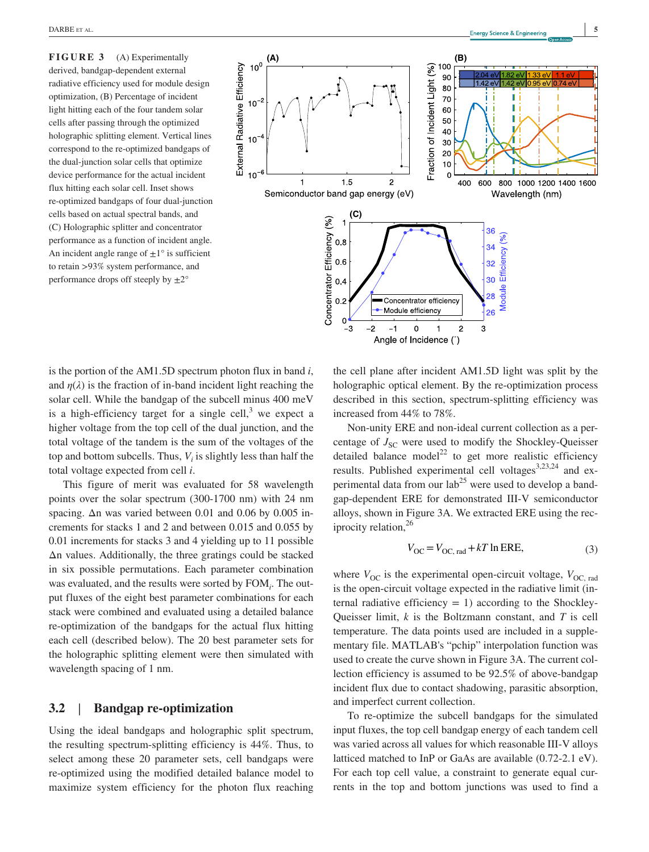**FIGURE 3** (A) Experimentally derived, bandgap‐dependent external radiative efficiency used for module design optimization, (B) Percentage of incident light hitting each of the four tandem solar cells after passing through the optimized holographic splitting element. Vertical lines correspond to the re‐optimized bandgaps of the dual‐junction solar cells that optimize device performance for the actual incident flux hitting each solar cell. Inset shows re‐optimized bandgaps of four dual‐junction cells based on actual spectral bands, and (C) Holographic splitter and concentrator performance as a function of incident angle. An incident angle range of  $\pm 1^\circ$  is sufficient to retain >93% system performance, and performance drops off steeply by  $\pm 2^{\circ}$ 



is the portion of the AM1.5D spectrum photon flux in band *i*, and  $\eta(\lambda)$  is the fraction of in-band incident light reaching the solar cell. While the bandgap of the subcell minus 400 meV is a high-efficiency target for a single cell,<sup>3</sup> we expect a higher voltage from the top cell of the dual junction, and the total voltage of the tandem is the sum of the voltages of the top and bottom subcells. Thus,  $V_i$  is slightly less than half the total voltage expected from cell *i*.

This figure of merit was evaluated for 58 wavelength points over the solar spectrum (300‐1700 nm) with 24 nm spacing. Δn was varied between 0.01 and 0.06 by 0.005 increments for stacks 1 and 2 and between 0.015 and 0.055 by 0.01 increments for stacks 3 and 4 yielding up to 11 possible Δn values. Additionally, the three gratings could be stacked in six possible permutations. Each parameter combination was evaluated, and the results were sorted by FOM*<sup>i</sup>* . The output fluxes of the eight best parameter combinations for each stack were combined and evaluated using a detailed balance re‐optimization of the bandgaps for the actual flux hitting each cell (described below). The 20 best parameter sets for the holographic splitting element were then simulated with wavelength spacing of 1 nm.

#### **3.2** | **Bandgap re‐optimization**

Using the ideal bandgaps and holographic split spectrum, the resulting spectrum‐splitting efficiency is 44%. Thus, to select among these 20 parameter sets, cell bandgaps were re‐optimized using the modified detailed balance model to maximize system efficiency for the photon flux reaching the cell plane after incident AM1.5D light was split by the holographic optical element. By the re-optimization process described in this section, spectrum‐splitting efficiency was increased from 44% to 78%.

Non‐unity ERE and non‐ideal current collection as a percentage of  $J_{SC}$  were used to modify the Shockley-Queisser detailed balance model<sup>22</sup> to get more realistic efficiency results. Published experimental cell voltages<sup>3,23,24</sup> and experimental data from our  $\text{lab}^{25}$  were used to develop a bandgap‐dependent ERE for demonstrated III‐V semiconductor alloys, shown in Figure 3A. We extracted ERE using the reciprocity relation,<sup>26</sup>

$$
V_{\text{OC}} = V_{\text{OC, rad}} + kT \ln \text{ERE},\tag{3}
$$

where  $V_{\text{OC}}$  is the experimental open-circuit voltage,  $V_{\text{OC, rad}}$ is the open-circuit voltage expected in the radiative limit (internal radiative efficiency  $= 1$ ) according to the Shockley-Queisser limit, *k* is the Boltzmann constant, and *T* is cell temperature. The data points used are included in a supplementary file. MATLAB's "pchip" interpolation function was used to create the curve shown in Figure 3A. The current collection efficiency is assumed to be 92.5% of above-bandgap incident flux due to contact shadowing, parasitic absorption, and imperfect current collection.

To re‐optimize the subcell bandgaps for the simulated input fluxes, the top cell bandgap energy of each tandem cell was varied across all values for which reasonable III‐V alloys latticed matched to InP or GaAs are available (0.72‐2.1 eV). For each top cell value, a constraint to generate equal currents in the top and bottom junctions was used to find a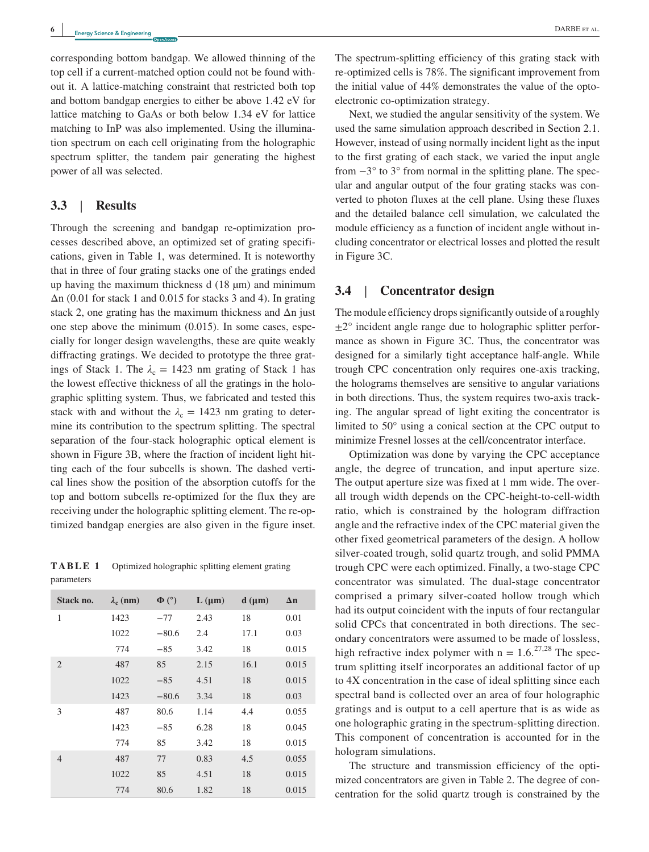corresponding bottom bandgap. We allowed thinning of the top cell if a current‐matched option could not be found without it. A lattice‐matching constraint that restricted both top and bottom bandgap energies to either be above 1.42 eV for lattice matching to GaAs or both below 1.34 eV for lattice matching to InP was also implemented. Using the illumination spectrum on each cell originating from the holographic spectrum splitter, the tandem pair generating the highest power of all was selected.

### **3.3** | **Results**

Through the screening and bandgap re-optimization processes described above, an optimized set of grating specifications, given in Table 1, was determined. It is noteworthy that in three of four grating stacks one of the gratings ended up having the maximum thickness d (18 µm) and minimum Δn (0.01 for stack 1 and 0.015 for stacks 3 and 4). In grating stack 2, one grating has the maximum thickness and  $\Delta n$  just one step above the minimum (0.015). In some cases, especially for longer design wavelengths, these are quite weakly diffracting gratings. We decided to prototype the three gratings of Stack 1. The  $\lambda_c = 1423$  nm grating of Stack 1 has the lowest effective thickness of all the gratings in the holographic splitting system. Thus, we fabricated and tested this stack with and without the  $\lambda_c = 1423$  nm grating to determine its contribution to the spectrum splitting. The spectral separation of the four-stack holographic optical element is shown in Figure 3B, where the fraction of incident light hitting each of the four subcells is shown. The dashed vertical lines show the position of the absorption cutoffs for the top and bottom subcells re‐optimized for the flux they are receiving under the holographic splitting element. The re‐optimized bandgap energies are also given in the figure inset.

**TABLE 1** Optimized holographic splitting element grating parameters

| Stack no.      | $\lambda_c$ (nm) | $\Phi$ (°) | $L(\mu m)$ | $d$ ( $\mu$ m) | $\Delta n$ |
|----------------|------------------|------------|------------|----------------|------------|
| $\mathbf{1}$   | 1423             | $-77$      | 2.43       | 18             | 0.01       |
|                | 1022             | $-80.6$    | 2.4        | 17.1           | 0.03       |
|                | 774              | $-85$      | 3.42       | 18             | 0.015      |
| $\overline{c}$ | 487              | 85         | 2.15       | 16.1           | 0.015      |
|                | 1022             | $-85$      | 4.51       | 18             | 0.015      |
|                | 1423             | $-80.6$    | 3.34       | 18             | 0.03       |
| 3              | 487              | 80.6       | 1.14       | 4.4            | 0.055      |
|                | 1423             | $-85$      | 6.28       | 18             | 0.045      |
|                | 774              | 85         | 3.42       | 18             | 0.015      |
| $\overline{4}$ | 487              | 77         | 0.83       | 4.5            | 0.055      |
|                | 1022             | 85         | 4.51       | 18             | 0.015      |
|                | 774              | 80.6       | 1.82       | 18             | 0.015      |

The spectrum‐splitting efficiency of this grating stack with re‐optimized cells is 78%. The significant improvement from the initial value of 44% demonstrates the value of the optoelectronic co‐optimization strategy.

Next, we studied the angular sensitivity of the system. We used the same simulation approach described in Section 2.1. However, instead of using normally incident light as the input to the first grating of each stack, we varied the input angle from  $-3^\circ$  to  $3^\circ$  from normal in the splitting plane. The specular and angular output of the four grating stacks was converted to photon fluxes at the cell plane. Using these fluxes and the detailed balance cell simulation, we calculated the module efficiency as a function of incident angle without including concentrator or electrical losses and plotted the result in Figure 3C.

### **3.4** | **Concentrator design**

The module efficiency drops significantly outside of a roughly  $\pm 2^{\circ}$  incident angle range due to holographic splitter performance as shown in Figure 3C. Thus, the concentrator was designed for a similarly tight acceptance half‐angle. While trough CPC concentration only requires one‐axis tracking, the holograms themselves are sensitive to angular variations in both directions. Thus, the system requires two-axis tracking. The angular spread of light exiting the concentrator is limited to 50° using a conical section at the CPC output to minimize Fresnel losses at the cell/concentrator interface.

Optimization was done by varying the CPC acceptance angle, the degree of truncation, and input aperture size. The output aperture size was fixed at 1 mm wide. The overall trough width depends on the CPC‐height‐to‐cell‐width ratio, which is constrained by the hologram diffraction angle and the refractive index of the CPC material given the other fixed geometrical parameters of the design. A hollow silver-coated trough, solid quartz trough, and solid PMMA trough CPC were each optimized. Finally, a two‐stage CPC concentrator was simulated. The dual‐stage concentrator comprised a primary silver‐coated hollow trough which had its output coincident with the inputs of four rectangular solid CPCs that concentrated in both directions. The secondary concentrators were assumed to be made of lossless, high refractive index polymer with  $n = 1.6$ <sup>27,28</sup> The spectrum splitting itself incorporates an additional factor of up to 4X concentration in the case of ideal splitting since each spectral band is collected over an area of four holographic gratings and is output to a cell aperture that is as wide as one holographic grating in the spectrum‐splitting direction. This component of concentration is accounted for in the hologram simulations.

The structure and transmission efficiency of the optimized concentrators are given in Table 2. The degree of concentration for the solid quartz trough is constrained by the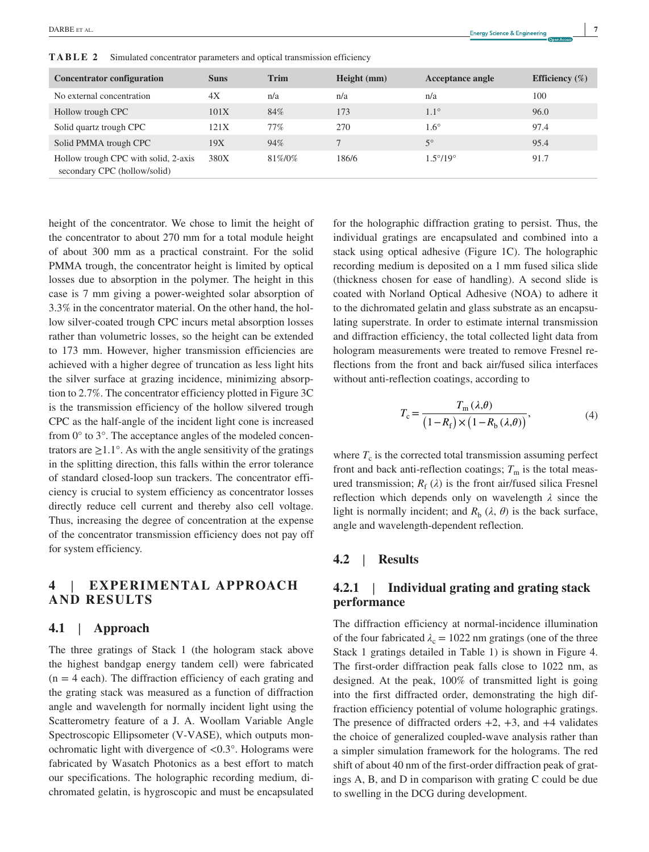secondary CPC (hollow/solid)

**TABLE 2** Simulated concentrator parameters and optical transmission efficiency

height of the concentrator. We chose to limit the height of the concentrator to about 270 mm for a total module height of about 300 mm as a practical constraint. For the solid PMMA trough, the concentrator height is limited by optical losses due to absorption in the polymer. The height in this case is 7 mm giving a power‐weighted solar absorption of 3.3% in the concentrator material. On the other hand, the hollow silver‐coated trough CPC incurs metal absorption losses rather than volumetric losses, so the height can be extended to 173 mm. However, higher transmission efficiencies are achieved with a higher degree of truncation as less light hits the silver surface at grazing incidence, minimizing absorption to 2.7%. The concentrator efficiency plotted in Figure 3C is the transmission efficiency of the hollow silvered trough CPC as the half‐angle of the incident light cone is increased from 0° to 3°. The acceptance angles of the modeled concentrators are  $\geq 1.1^{\circ}$ . As with the angle sensitivity of the gratings in the splitting direction, this falls within the error tolerance of standard closed‐loop sun trackers. The concentrator efficiency is crucial to system efficiency as concentrator losses directly reduce cell current and thereby also cell voltage. Thus, increasing the degree of concentration at the expense of the concentrator transmission efficiency does not pay off for system efficiency.

# **4** | **EXPERIMENTAL APPROACH AND RESULTS**

## **4.1** | **Approach**

The three gratings of Stack 1 (the hologram stack above the highest bandgap energy tandem cell) were fabricated  $(n = 4$  each). The diffraction efficiency of each grating and the grating stack was measured as a function of diffraction angle and wavelength for normally incident light using the Scatterometry feature of a J. A. Woollam Variable Angle Spectroscopic Ellipsometer (V‐VASE), which outputs monochromatic light with divergence of <0.3°. Holograms were fabricated by Wasatch Photonics as a best effort to match our specifications. The holographic recording medium, dichromated gelatin, is hygroscopic and must be encapsulated for the holographic diffraction grating to persist. Thus, the individual gratings are encapsulated and combined into a stack using optical adhesive (Figure 1C). The holographic recording medium is deposited on a 1 mm fused silica slide (thickness chosen for ease of handling). A second slide is coated with Norland Optical Adhesive (NOA) to adhere it to the dichromated gelatin and glass substrate as an encapsulating superstrate. In order to estimate internal transmission and diffraction efficiency, the total collected light data from hologram measurements were treated to remove Fresnel reflections from the front and back air/fused silica interfaces without anti-reflection coatings, according to

$$
T_{\rm c} = \frac{T_{\rm m}(\lambda,\theta)}{\left(1 - R_{\rm f}\right) \times \left(1 - R_{\rm b}(\lambda,\theta)\right)},\tag{4}
$$

where  $T_c$  is the corrected total transmission assuming perfect front and back anti-reflection coatings;  $T<sub>m</sub>$  is the total measured transmission;  $R_f(\lambda)$  is the front air/fused silica Fresnel reflection which depends only on wavelength *λ* since the light is normally incident; and  $R_b$  ( $\lambda$ ,  $\theta$ ) is the back surface, angle and wavelength‐dependent reflection.

#### **4.2** | **Results**

# **4.2.1** | **Individual grating and grating stack performance**

The diffraction efficiency at normal‐incidence illumination of the four fabricated  $\lambda_c = 1022$  nm gratings (one of the three Stack 1 gratings detailed in Table 1) is shown in Figure 4. The first-order diffraction peak falls close to 1022 nm, as designed. At the peak, 100% of transmitted light is going into the first diffracted order, demonstrating the high diffraction efficiency potential of volume holographic gratings. The presence of diffracted orders  $+2$ ,  $+3$ , and  $+4$  validates the choice of generalized coupled‐wave analysis rather than a simpler simulation framework for the holograms. The red shift of about 40 nm of the first-order diffraction peak of gratings A, B, and D in comparison with grating C could be due to swelling in the DCG during development.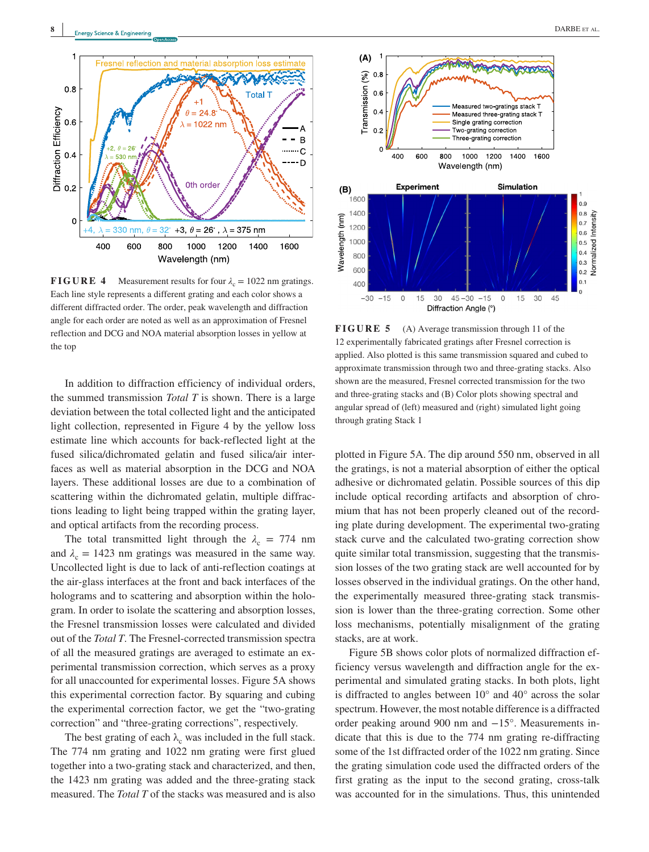

**FIGURE 4** Measurement results for four  $\lambda_c = 1022$  nm gratings. Each line style represents a different grating and each color shows a different diffracted order. The order, peak wavelength and diffraction angle for each order are noted as well as an approximation of Fresnel reflection and DCG and NOA material absorption losses in yellow at the top

In addition to diffraction efficiency of individual orders, the summed transmission *Total T* is shown. There is a large deviation between the total collected light and the anticipated light collection, represented in Figure 4 by the yellow loss estimate line which accounts for back‐reflected light at the fused silica/dichromated gelatin and fused silica/air interfaces as well as material absorption in the DCG and NOA layers. These additional losses are due to a combination of scattering within the dichromated gelatin, multiple diffractions leading to light being trapped within the grating layer, and optical artifacts from the recording process.

The total transmitted light through the  $\lambda_c = 774$  nm and  $\lambda_c = 1423$  nm gratings was measured in the same way. Uncollected light is due to lack of anti‐reflection coatings at the air‐glass interfaces at the front and back interfaces of the holograms and to scattering and absorption within the hologram. In order to isolate the scattering and absorption losses, the Fresnel transmission losses were calculated and divided out of the *Total T*. The Fresnel‐corrected transmission spectra of all the measured gratings are averaged to estimate an experimental transmission correction, which serves as a proxy for all unaccounted for experimental losses. Figure 5A shows this experimental correction factor. By squaring and cubing the experimental correction factor, we get the "two‐grating correction" and "three‐grating corrections", respectively.

The best grating of each  $\lambda_c$  was included in the full stack. The 774 nm grating and 1022 nm grating were first glued together into a two‐grating stack and characterized, and then, the 1423 nm grating was added and the three‐grating stack measured. The *Total T* of the stacks was measured and is also



**FIGURE 5** (A) Average transmission through 11 of the 12 experimentally fabricated gratings after Fresnel correction is applied. Also plotted is this same transmission squared and cubed to approximate transmission through two and three‐grating stacks. Also shown are the measured, Fresnel corrected transmission for the two and three‐grating stacks and (B) Color plots showing spectral and angular spread of (left) measured and (right) simulated light going through grating Stack 1

plotted in Figure 5A. The dip around 550 nm, observed in all the gratings, is not a material absorption of either the optical adhesive or dichromated gelatin. Possible sources of this dip include optical recording artifacts and absorption of chromium that has not been properly cleaned out of the recording plate during development. The experimental two‐grating stack curve and the calculated two‐grating correction show quite similar total transmission, suggesting that the transmission losses of the two grating stack are well accounted for by losses observed in the individual gratings. On the other hand, the experimentally measured three‐grating stack transmission is lower than the three‐grating correction. Some other loss mechanisms, potentially misalignment of the grating stacks, are at work.

Figure 5B shows color plots of normalized diffraction efficiency versus wavelength and diffraction angle for the experimental and simulated grating stacks. In both plots, light is diffracted to angles between  $10^{\circ}$  and  $40^{\circ}$  across the solar spectrum. However, the most notable difference is a diffracted order peaking around 900 nm and −15°. Measurements indicate that this is due to the 774 nm grating re‐diffracting some of the 1st diffracted order of the 1022 nm grating. Since the grating simulation code used the diffracted orders of the first grating as the input to the second grating, cross-talk was accounted for in the simulations. Thus, this unintended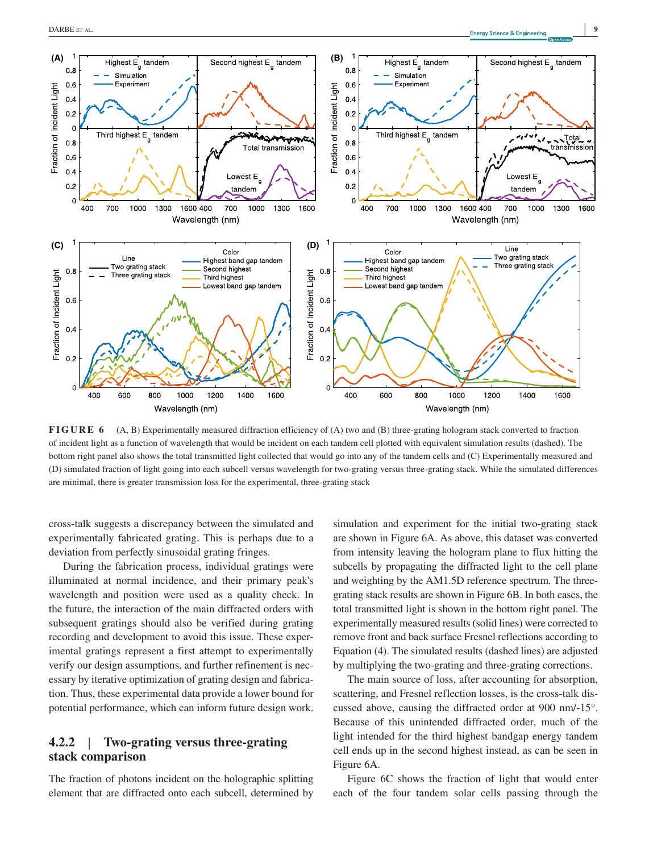

**FIGURE 6** (A, B) Experimentally measured diffraction efficiency of (A) two and (B) three-grating hologram stack converted to fraction of incident light as a function of wavelength that would be incident on each tandem cell plotted with equivalent simulation results (dashed). The bottom right panel also shows the total transmitted light collected that would go into any of the tandem cells and (C) Experimentally measured and (D) simulated fraction of light going into each subcell versus wavelength for two‐grating versus three‐grating stack. While the simulated differences are minimal, there is greater transmission loss for the experimental, three‐grating stack

cross‐talk suggests a discrepancy between the simulated and experimentally fabricated grating. This is perhaps due to a deviation from perfectly sinusoidal grating fringes.

During the fabrication process, individual gratings were illuminated at normal incidence, and their primary peak's wavelength and position were used as a quality check. In the future, the interaction of the main diffracted orders with subsequent gratings should also be verified during grating recording and development to avoid this issue. These experimental gratings represent a first attempt to experimentally verify our design assumptions, and further refinement is necessary by iterative optimization of grating design and fabrication. Thus, these experimental data provide a lower bound for potential performance, which can inform future design work.

# **4.2.2** | **Two‐grating versus three‐grating stack comparison**

The fraction of photons incident on the holographic splitting element that are diffracted onto each subcell, determined by simulation and experiment for the initial two-grating stack are shown in Figure 6A. As above, this dataset was converted from intensity leaving the hologram plane to flux hitting the subcells by propagating the diffracted light to the cell plane and weighting by the AM1.5D reference spectrum. The threegrating stack results are shown in Figure 6B. In both cases, the total transmitted light is shown in the bottom right panel. The experimentally measured results (solid lines) were corrected to remove front and back surface Fresnel reflections according to Equation (4). The simulated results (dashed lines) are adjusted by multiplying the two‐grating and three‐grating corrections.

The main source of loss, after accounting for absorption, scattering, and Fresnel reflection losses, is the cross-talk discussed above, causing the diffracted order at 900 nm/‐15°. Because of this unintended diffracted order, much of the light intended for the third highest bandgap energy tandem cell ends up in the second highest instead, as can be seen in Figure 6A.

Figure 6C shows the fraction of light that would enter each of the four tandem solar cells passing through the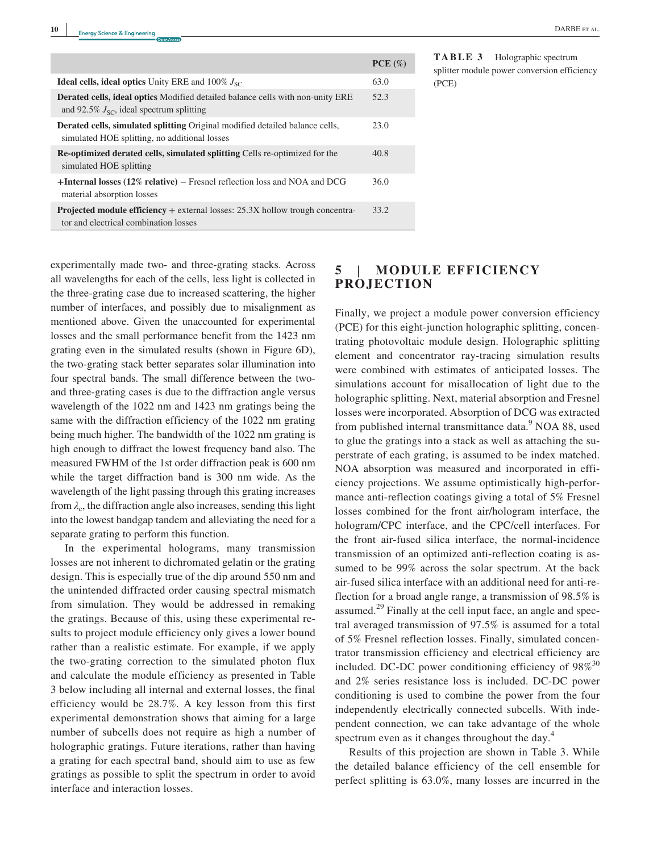|                                                                                                                                        | $PCE(\%)$ |
|----------------------------------------------------------------------------------------------------------------------------------------|-----------|
| <b>Ideal cells, ideal optics</b> Unity ERE and $100\%$ $J_{SC}$                                                                        | 63.0      |
| <b>Derated cells, ideal optics</b> Modified detailed balance cells with non-unity ERE<br>and 92.5% $J_{SC}$ , ideal spectrum splitting | 52.3      |
| <b>Derated cells, simulated splitting Original modified detailed balance cells,</b><br>simulated HOE splitting, no additional losses   | 23.0      |
| <b>Re-optimized derated cells, simulated splitting Cells re-optimized for the</b><br>simulated HOE splitting                           | 40.8      |
| $+$ <b>Internal losses (12% relative)</b> – Fresnel reflection loss and NOA and DCG<br>material absorption losses                      | 36.0      |
| <b>Projected module efficiency</b> + external losses: $25.3X$ hollow trough concentra-<br>tor and electrical combination losses        | 33.2      |

**TABLE 3** Holographic spectrum splitter module power conversion efficiency (PCE)

experimentally made two‐ and three‐grating stacks. Across all wavelengths for each of the cells, less light is collected in the three‐grating case due to increased scattering, the higher number of interfaces, and possibly due to misalignment as mentioned above. Given the unaccounted for experimental losses and the small performance benefit from the 1423 nm grating even in the simulated results (shown in Figure 6D), the two‐grating stack better separates solar illumination into four spectral bands. The small difference between the twoand three‐grating cases is due to the diffraction angle versus wavelength of the 1022 nm and 1423 nm gratings being the same with the diffraction efficiency of the 1022 nm grating being much higher. The bandwidth of the 1022 nm grating is high enough to diffract the lowest frequency band also. The measured FWHM of the 1st order diffraction peak is 600 nm while the target diffraction band is 300 nm wide. As the wavelength of the light passing through this grating increases from  $\lambda_c$ , the diffraction angle also increases, sending this light into the lowest bandgap tandem and alleviating the need for a separate grating to perform this function.

In the experimental holograms, many transmission losses are not inherent to dichromated gelatin or the grating design. This is especially true of the dip around 550 nm and the unintended diffracted order causing spectral mismatch from simulation. They would be addressed in remaking the gratings. Because of this, using these experimental results to project module efficiency only gives a lower bound rather than a realistic estimate. For example, if we apply the two‐grating correction to the simulated photon flux and calculate the module efficiency as presented in Table 3 below including all internal and external losses, the final efficiency would be 28.7%. A key lesson from this first experimental demonstration shows that aiming for a large number of subcells does not require as high a number of holographic gratings. Future iterations, rather than having a grating for each spectral band, should aim to use as few gratings as possible to split the spectrum in order to avoid interface and interaction losses.

# **5** | **MODULE EFFICIENCY PROJECTION**

Finally, we project a module power conversion efficiency (PCE) for this eight‐junction holographic splitting, concentrating photovoltaic module design. Holographic splitting element and concentrator ray‐tracing simulation results were combined with estimates of anticipated losses. The simulations account for misallocation of light due to the holographic splitting. Next, material absorption and Fresnel losses were incorporated. Absorption of DCG was extracted from published internal transmittance data.<sup>9</sup> NOA 88, used to glue the gratings into a stack as well as attaching the superstrate of each grating, is assumed to be index matched. NOA absorption was measured and incorporated in efficiency projections. We assume optimistically high‐performance anti-reflection coatings giving a total of 5% Fresnel losses combined for the front air/hologram interface, the hologram/CPC interface, and the CPC/cell interfaces. For the front air‐fused silica interface, the normal‐incidence transmission of an optimized anti-reflection coating is assumed to be 99% across the solar spectrum. At the back air‐fused silica interface with an additional need for anti‐reflection for a broad angle range, a transmission of 98.5% is assumed.<sup>29</sup> Finally at the cell input face, an angle and spectral averaged transmission of 97.5% is assumed for a total of 5% Fresnel reflection losses. Finally, simulated concentrator transmission efficiency and electrical efficiency are included. DC-DC power conditioning efficiency of  $98\%^{30}$ and 2% series resistance loss is included. DC‐DC power conditioning is used to combine the power from the four independently electrically connected subcells. With independent connection, we can take advantage of the whole spectrum even as it changes throughout the day.<sup>4</sup>

Results of this projection are shown in Table 3. While the detailed balance efficiency of the cell ensemble for perfect splitting is 63.0%, many losses are incurred in the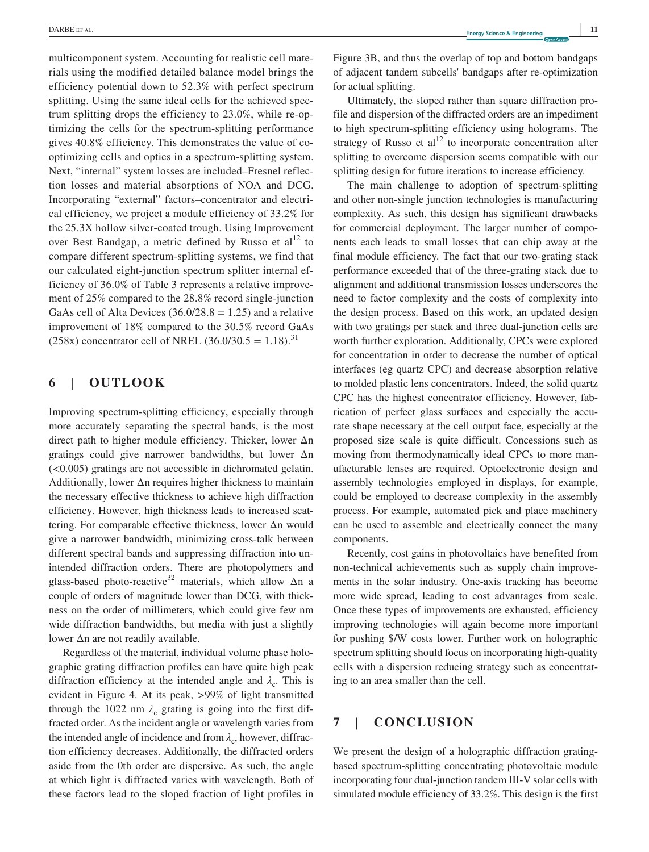multicomponent system. Accounting for realistic cell materials using the modified detailed balance model brings the efficiency potential down to 52.3% with perfect spectrum splitting. Using the same ideal cells for the achieved spectrum splitting drops the efficiency to 23.0%, while re‐optimizing the cells for the spectrum‐splitting performance gives 40.8% efficiency. This demonstrates the value of co‐ optimizing cells and optics in a spectrum‐splitting system. Next, "internal" system losses are included–Fresnel reflection losses and material absorptions of NOA and DCG. Incorporating "external" factors–concentrator and electrical efficiency, we project a module efficiency of 33.2% for the 25.3X hollow silver‐coated trough. Using Improvement over Best Bandgap, a metric defined by Russo et  $al<sup>12</sup>$  to compare different spectrum‐splitting systems, we find that our calculated eight‐junction spectrum splitter internal efficiency of 36.0% of Table 3 represents a relative improvement of 25% compared to the 28.8% record single‐junction GaAs cell of Alta Devices  $(36.0/28.8 = 1.25)$  and a relative improvement of 18% compared to the 30.5% record GaAs (258x) concentrator cell of NREL (36.0/30.5 = 1.18).<sup>31</sup>

# **6** | **OUTLOOK**

Improving spectrum‐splitting efficiency, especially through more accurately separating the spectral bands, is the most direct path to higher module efficiency. Thicker, lower Δn gratings could give narrower bandwidths, but lower Δn (<0.005) gratings are not accessible in dichromated gelatin. Additionally, lower  $\Delta n$  requires higher thickness to maintain the necessary effective thickness to achieve high diffraction efficiency. However, high thickness leads to increased scattering. For comparable effective thickness, lower Δn would give a narrower bandwidth, minimizing cross‐talk between different spectral bands and suppressing diffraction into unintended diffraction orders. There are photopolymers and glass-based photo-reactive<sup>32</sup> materials, which allow  $\Delta n$  a couple of orders of magnitude lower than DCG, with thickness on the order of millimeters, which could give few nm wide diffraction bandwidths, but media with just a slightly lower Δn are not readily available.

Regardless of the material, individual volume phase holographic grating diffraction profiles can have quite high peak diffraction efficiency at the intended angle and  $\lambda_c$ . This is evident in Figure 4. At its peak, >99% of light transmitted through the 1022 nm  $\lambda_c$  grating is going into the first diffracted order. As the incident angle or wavelength varies from the intended angle of incidence and from  $\lambda_c$ , however, diffraction efficiency decreases. Additionally, the diffracted orders aside from the 0th order are dispersive. As such, the angle at which light is diffracted varies with wavelength. Both of these factors lead to the sloped fraction of light profiles in Figure 3B, and thus the overlap of top and bottom bandgaps of adjacent tandem subcells' bandgaps after re‐optimization for actual splitting.

Ultimately, the sloped rather than square diffraction profile and dispersion of the diffracted orders are an impediment to high spectrum‐splitting efficiency using holograms. The strategy of Russo et  $al<sup>12</sup>$  to incorporate concentration after splitting to overcome dispersion seems compatible with our splitting design for future iterations to increase efficiency.

The main challenge to adoption of spectrum-splitting and other non‐single junction technologies is manufacturing complexity. As such, this design has significant drawbacks for commercial deployment. The larger number of components each leads to small losses that can chip away at the final module efficiency. The fact that our two-grating stack performance exceeded that of the three‐grating stack due to alignment and additional transmission losses underscores the need to factor complexity and the costs of complexity into the design process. Based on this work, an updated design with two gratings per stack and three dual-junction cells are worth further exploration. Additionally, CPCs were explored for concentration in order to decrease the number of optical interfaces (eg quartz CPC) and decrease absorption relative to molded plastic lens concentrators. Indeed, the solid quartz CPC has the highest concentrator efficiency. However, fabrication of perfect glass surfaces and especially the accurate shape necessary at the cell output face, especially at the proposed size scale is quite difficult. Concessions such as moving from thermodynamically ideal CPCs to more manufacturable lenses are required. Optoelectronic design and assembly technologies employed in displays, for example, could be employed to decrease complexity in the assembly process. For example, automated pick and place machinery can be used to assemble and electrically connect the many components.

Recently, cost gains in photovoltaics have benefited from non‐technical achievements such as supply chain improvements in the solar industry. One‐axis tracking has become more wide spread, leading to cost advantages from scale. Once these types of improvements are exhausted, efficiency improving technologies will again become more important for pushing \$/W costs lower. Further work on holographic spectrum splitting should focus on incorporating high-quality cells with a dispersion reducing strategy such as concentrating to an area smaller than the cell.

# **7** | **CONCLUSION**

We present the design of a holographic diffraction grating– based spectrum‐splitting concentrating photovoltaic module incorporating four dual‐junction tandem III‐V solar cells with simulated module efficiency of 33.2%. This design is the first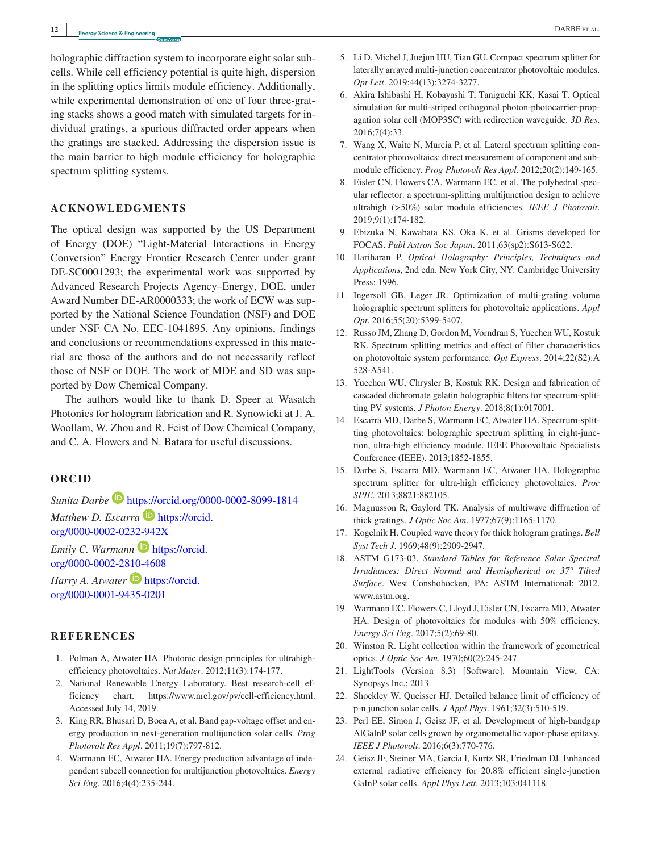holographic diffraction system to incorporate eight solar subcells. While cell efficiency potential is quite high, dispersion in the splitting optics limits module efficiency. Additionally, while experimental demonstration of one of four three-grating stacks shows a good match with simulated targets for individual gratings, a spurious diffracted order appears when the gratings are stacked. Addressing the dispersion issue is the main barrier to high module efficiency for holographic spectrum splitting systems.

#### **ACKNOWLEDGMENTS**

The optical design was supported by the US Department of Energy (DOE) "Light‐Material Interactions in Energy Conversion" Energy Frontier Research Center under grant DE-SC0001293; the experimental work was supported by Advanced Research Projects Agency–Energy, DOE, under Award Number DE‐AR0000333; the work of ECW was supported by the National Science Foundation (NSF) and DOE under NSF CA No. EEC‐1041895. Any opinions, findings and conclusions or recommendations expressed in this material are those of the authors and do not necessarily reflect those of NSF or DOE. The work of MDE and SD was supported by Dow Chemical Company.

The authors would like to thank D. Speer at Wasatch Photonics for hologram fabrication and R. Synowicki at J. A. Woollam, W. Zhou and R. Feist of Dow Chemical Company, and C. A. Flowers and N. Batara for useful discussions.

#### **ORCID**

*Sunita Darbe* <https://orcid.org/0000-0002-8099-1814>

*Matthew D. Escarra* **[https://orcid.](https://orcid.org/0000-0002-0232-942X)** [org/0000-0002-0232-942X](https://orcid.org/0000-0002-0232-942X)

*Emily C. Warmann* **ID** [https://orcid.](https://orcid.org/0000-0002-2810-4608) [org/0000-0002-2810-4608](https://orcid.org/0000-0002-2810-4608)

*Harry A. Atwater* **b** [https://orcid.](https://orcid.org/0000-0001-9435-0201) [org/0000-0001-9435-0201](https://orcid.org/0000-0001-9435-0201)

#### **REFERENCES**

- 1. Polman A, Atwater HA. Photonic design principles for ultrahigh‐ efficiency photovoltaics. *Nat Mater*. 2012;11(3):174‐177.
- 2. National Renewable Energy Laboratory. Best research‐cell efficiency chart. <https://www.nrel.gov/pv/cell-efficiency.html>. Accessed July 14, 2019.
- 3. King RR, Bhusari D, Boca A, et al. Band gap‐voltage offset and energy production in next‐generation multijunction solar cells. *Prog Photovolt Res Appl*. 2011;19(7):797‐812.
- 4. Warmann EC, Atwater HA. Energy production advantage of independent subcell connection for multijunction photovoltaics. *Energy Sci Eng*. 2016;4(4):235‐244.
- 5. Li D, Michel J, Juejun HU, Tian GU. Compact spectrum splitter for laterally arrayed multi‐junction concentrator photovoltaic modules. *Opt Lett*. 2019;44(13):3274‐3277.
- 6. Akira Ishibashi H, Kobayashi T, Taniguchi KK, Kasai T. Optical simulation for multi-striped orthogonal photon-photocarrier-propagation solar cell (MOP3SC) with redirection waveguide. *3D Res*. 2016;7(4):33.
- 7. Wang X, Waite N, Murcia P, et al. Lateral spectrum splitting concentrator photovoltaics: direct measurement of component and submodule efficiency. *Prog Photovolt Res Appl*. 2012;20(2):149‐165.
- 8. Eisler CN, Flowers CA, Warmann EC, et al. The polyhedral specular reflector: a spectrum‐splitting multijunction design to achieve ultrahigh (>50%) solar module efficiencies. *IEEE J Photovolt*. 2019;9(1):174‐182.
- 9. Ebizuka N, Kawabata KS, Oka K, et al. Grisms developed for FOCAS. *Publ Astron Soc Japan*. 2011;63(sp2):S613‐S622.
- 10. Hariharan P. *Optical Holography: Principles, Techniques and Applications*, 2nd edn. New York City, NY: Cambridge University Press; 1996.
- 11. Ingersoll GB, Leger JR. Optimization of multi‐grating volume holographic spectrum splitters for photovoltaic applications. *Appl Opt*. 2016;55(20):5399‐5407.
- 12. Russo JM, Zhang D, Gordon M, Vorndran S, Yuechen WU, Kostuk RK. Spectrum splitting metrics and effect of filter characteristics on photovoltaic system performance. *Opt Express*. 2014;22(S2):A 528‐A541.
- 13. Yuechen WU, Chrysler B, Kostuk RK. Design and fabrication of cascaded dichromate gelatin holographic filters for spectrum‐splitting PV systems. *J Photon Energy*. 2018;8(1):017001.
- 14. Escarra MD, Darbe S, Warmann EC, Atwater HA. Spectrum‐splitting photovoltaics: holographic spectrum splitting in eight-junction, ultra‐high efficiency module. IEEE Photovoltaic Specialists Conference (IEEE). 2013;1852‐1855.
- 15. Darbe S, Escarra MD, Warmann EC, Atwater HA. Holographic spectrum splitter for ultra‐high efficiency photovoltaics. *Proc SPIE*. 2013;8821:882105.
- 16. Magnusson R, Gaylord TK. Analysis of multiwave diffraction of thick gratings. *J Optic Soc Am*. 1977;67(9):1165‐1170.
- 17. Kogelnik H. Coupled wave theory for thick hologram gratings. *Bell Syst Tech J*. 1969;48(9):2909‐2947.
- 18. ASTM G173‐03. *Standard Tables for Reference Solar Spectral Irradiances: Direct Normal and Hemispherical on 37° Tilted Surface*. West Conshohocken, PA: ASTM International; 2012. [www.astm.org.](http://www.astm.org)
- 19. Warmann EC, Flowers C, Lloyd J, Eisler CN, Escarra MD, Atwater HA. Design of photovoltaics for modules with 50% efficiency. *Energy Sci Eng*. 2017;5(2):69‐80.
- 20. Winston R. Light collection within the framework of geometrical optics. *J Optic Soc Am*. 1970;60(2):245‐247.
- 21. LightTools (Version 8.3) [Software]. Mountain View, CA: Synopsys Inc.; 2013.
- 22. Shockley W, Queisser HJ. Detailed balance limit of efficiency of p‐n junction solar cells. *J Appl Phys*. 1961;32(3):510‐519.
- 23. Perl EE, Simon J, Geisz JF, et al. Development of high‐bandgap AlGaInP solar cells grown by organometallic vapor‐phase epitaxy. *IEEE J Photovolt*. 2016;6(3):770‐776.
- 24. Geisz JF, Steiner MA, García I, Kurtz SR, Friedman DJ. Enhanced external radiative efficiency for 20.8% efficient single‐junction GaInP solar cells. *Appl Phys Lett*. 2013;103:041118.